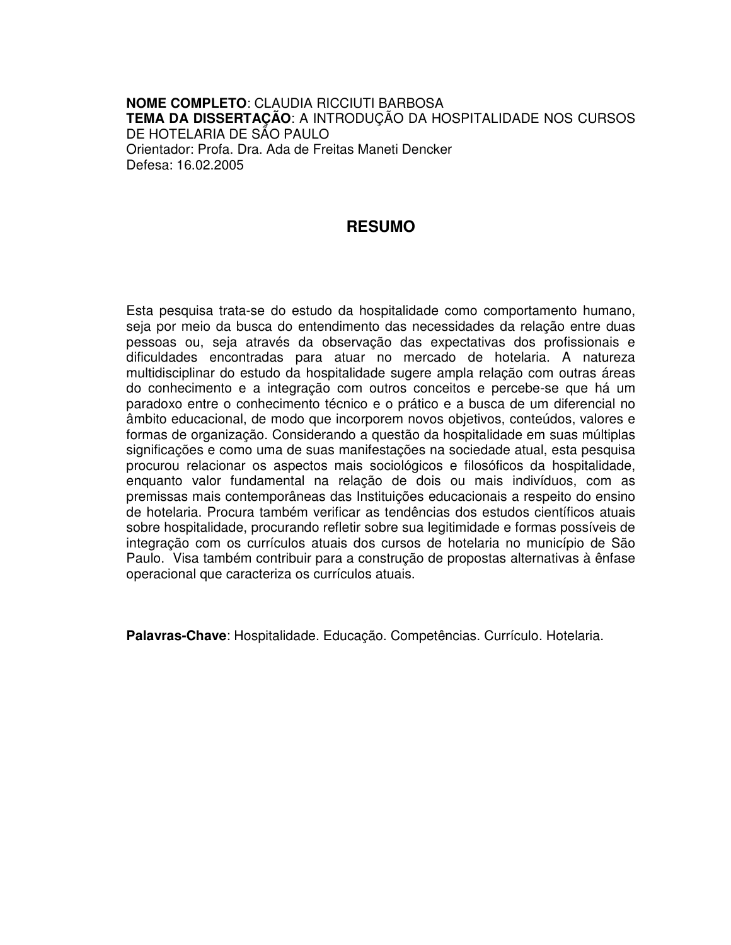**NOME COMPLETO**: CLAUDIA RICCIUTI BARBOSA **TEMA DA DISSERTAÇÃO**: A INTRODUÇÃO DA HOSPITALIDADE NOS CURSOS DE HOTELARIA DE SÃO PAULO Orientador: Profa. Dra. Ada de Freitas Maneti Dencker Defesa: 16.02.2005

## **RESUMO**

Esta pesquisa trata-se do estudo da hospitalidade como comportamento humano, seja por meio da busca do entendimento das necessidades da relação entre duas pessoas ou, seja através da observação das expectativas dos profissionais e dificuldades encontradas para atuar no mercado de hotelaria. A natureza multidisciplinar do estudo da hospitalidade sugere ampla relação com outras áreas do conhecimento e a integração com outros conceitos e percebe-se que há um paradoxo entre o conhecimento técnico e o prático e a busca de um diferencial no âmbito educacional, de modo que incorporem novos objetivos, conteúdos, valores e formas de organização. Considerando a questão da hospitalidade em suas múltiplas significações e como uma de suas manifestações na sociedade atual, esta pesquisa procurou relacionar os aspectos mais sociológicos e filosóficos da hospitalidade, enquanto valor fundamental na relação de dois ou mais indivíduos, com as premissas mais contemporâneas das Instituições educacionais a respeito do ensino de hotelaria. Procura também verificar as tendências dos estudos científicos atuais sobre hospitalidade, procurando refletir sobre sua legitimidade e formas possíveis de integração com os currículos atuais dos cursos de hotelaria no município de São Paulo. Visa também contribuir para a construção de propostas alternativas à ênfase operacional que caracteriza os currículos atuais.

**Palavras-Chave**: Hospitalidade. Educação. Competências. Currículo. Hotelaria.